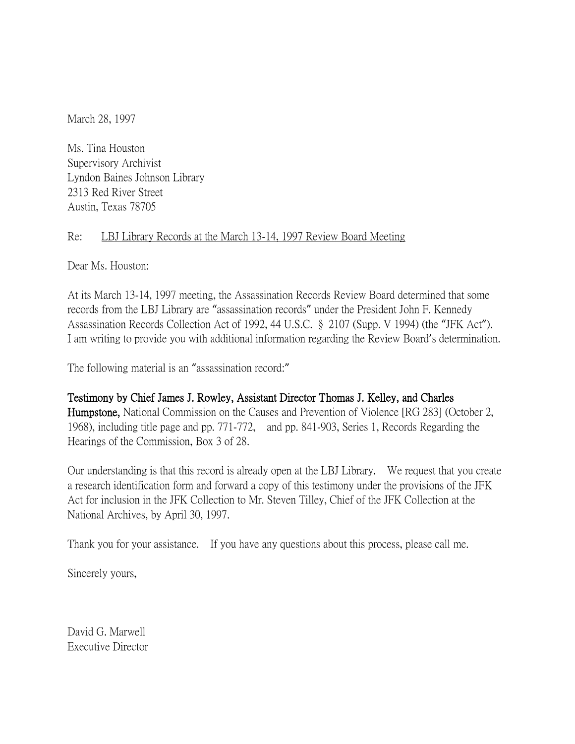March 28, 1997

Ms. Tina Houston Supervisory Archivist Lyndon Baines Johnson Library 2313 Red River Street Austin, Texas 78705

## Re: LBJ Library Records at the March 13-14, 1997 Review Board Meeting

Dear Ms. Houston:

At its March 13-14, 1997 meeting, the Assassination Records Review Board determined that some records from the LBJ Library are "assassination records" under the President John F. Kennedy Assassination Records Collection Act of 1992, 44 U.S.C. § 2107 (Supp. V 1994) (the "JFK Act"). I am writing to provide you with additional information regarding the Review Board's determination.

The following material is an "assassination record:"

## Testimony by Chief James J. Rowley, Assistant Director Thomas J. Kelley, and Charles

Humpstone, National Commission on the Causes and Prevention of Violence [RG 283] (October 2, 1968), including title page and pp. 771-772, and pp. 841-903, Series 1, Records Regarding the Hearings of the Commission, Box 3 of 28.

Our understanding is that this record is already open at the LBJ Library. We request that you create a research identification form and forward a copy of this testimony under the provisions of the JFK Act for inclusion in the JFK Collection to Mr. Steven Tilley, Chief of the JFK Collection at the National Archives, by April 30, 1997.

Thank you for your assistance. If you have any questions about this process, please call me.

Sincerely yours,

David G. Marwell Executive Director